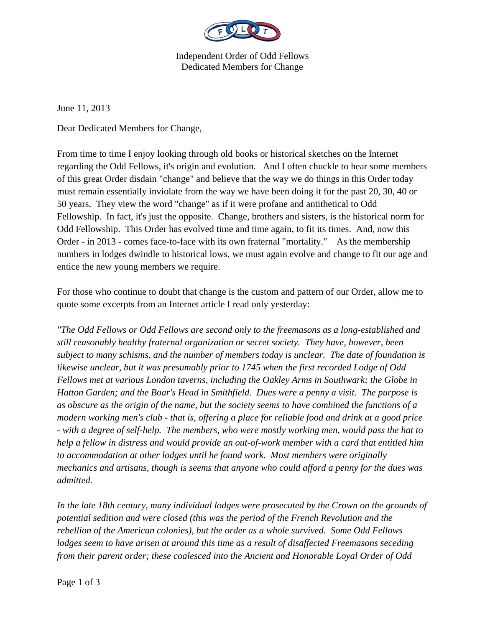

Independent Order of Odd Fellows Dedicated Members for Change

June 11, 2013

Dear Dedicated Members for Change,

From time to time I enjoy looking through old books or historical sketches on the Internet regarding the Odd Fellows, it's origin and evolution. And I often chuckle to hear some members of this great Order disdain "change" and believe that the way we do things in this Order today must remain essentially inviolate from the way we have been doing it for the past 20, 30, 40 or 50 years. They view the word "change" as if it were profane and antithetical to Odd Fellowship. In fact, it's just the opposite. Change, brothers and sisters, is the historical norm for Odd Fellowship. This Order has evolved time and time again, to fit its times. And, now this Order - in 2013 - comes face-to-face with its own fraternal "mortality." As the membership numbers in lodges dwindle to historical lows, we must again evolve and change to fit our age and entice the new young members we require.

For those who continue to doubt that change is the custom and pattern of our Order, allow me to quote some excerpts from an Internet article I read only yesterday:

*"The Odd Fellows or Odd Fellows are second only to the freemasons as a long-established and still reasonably healthy fraternal organization or secret society. They have, however, been subject to many schisms, and the number of members today is unclear. The date of foundation is likewise unclear, but it was presumably prior to 1745 when the first recorded Lodge of Odd Fellows met at various London taverns, including the Oakley Arms in Southwark; the Globe in Hatton Garden; and the Boar's Head in Smithfield. Dues were a penny a visit. The purpose is as obscure as the origin of the name, but the society seems to have combined the functions of a modern working men's club - that is, offering a place for reliable food and drink at a good price - with a degree of self-help. The members, who were mostly working men, would pass the hat to help a fellow in distress and would provide an out-of-work member with a card that entitled him to accommodation at other lodges until he found work. Most members were originally mechanics and artisans, though is seems that anyone who could afford a penny for the dues was admitted.* 

*In the late 18th century, many individual lodges were prosecuted by the Crown on the grounds of potential sedition and were closed (this was the period of the French Revolution and the rebellion of the American colonies), but the order as a whole survived. Some Odd Fellows lodges seem to have arisen at around this time as a result of disaffected Freemasons seceding from their parent order; these coalesced into the Ancient and Honorable Loyal Order of Odd*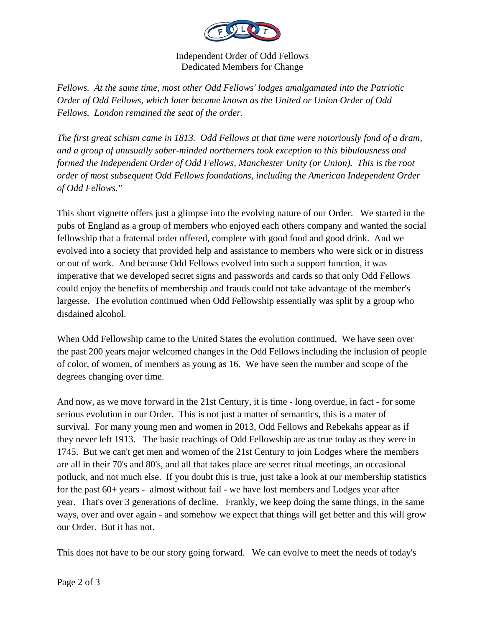

Independent Order of Odd Fellows Dedicated Members for Change

*Fellows. At the same time, most other Odd Fellows' lodges amalgamated into the Patriotic Order of Odd Fellows, which later became known as the United or Union Order of Odd Fellows. London remained the seat of the order.* 

*The first great schism came in 1813. Odd Fellows at that time were notoriously fond of a dram, and a group of unusually sober-minded northerners took exception to this bibulousness and formed the Independent Order of Odd Fellows, Manchester Unity (or Union). This is the root order of most subsequent Odd Fellows foundations, including the American Independent Order of Odd Fellows."* 

This short vignette offers just a glimpse into the evolving nature of our Order. We started in the pubs of England as a group of members who enjoyed each others company and wanted the social fellowship that a fraternal order offered, complete with good food and good drink. And we evolved into a society that provided help and assistance to members who were sick or in distress or out of work. And because Odd Fellows evolved into such a support function, it was imperative that we developed secret signs and passwords and cards so that only Odd Fellows could enjoy the benefits of membership and frauds could not take advantage of the member's largesse. The evolution continued when Odd Fellowship essentially was split by a group who disdained alcohol.

When Odd Fellowship came to the United States the evolution continued. We have seen over the past 200 years major welcomed changes in the Odd Fellows including the inclusion of people of color, of women, of members as young as 16. We have seen the number and scope of the degrees changing over time.

And now, as we move forward in the 21st Century, it is time - long overdue, in fact - for some serious evolution in our Order. This is not just a matter of semantics, this is a mater of survival. For many young men and women in 2013, Odd Fellows and Rebekahs appear as if they never left 1913. The basic teachings of Odd Fellowship are as true today as they were in 1745. But we can't get men and women of the 21st Century to join Lodges where the members are all in their 70's and 80's, and all that takes place are secret ritual meetings, an occasional potluck, and not much else. If you doubt this is true, just take a look at our membership statistics for the past 60+ years - almost without fail - we have lost members and Lodges year after year. That's over 3 generations of decline. Frankly, we keep doing the same things, in the same ways, over and over again - and somehow we expect that things will get better and this will grow our Order. But it has not.

This does not have to be our story going forward. We can evolve to meet the needs of today's